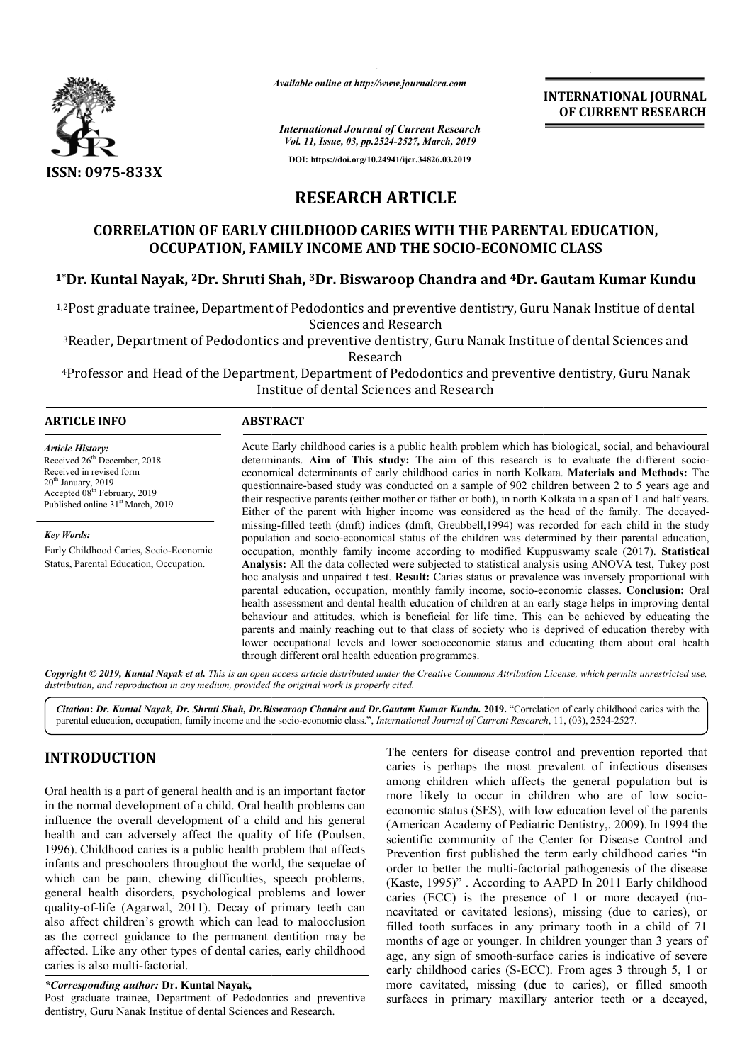

*Available online at http://www.journalcra.com*

**INTERNATIONAL JOURNAL OF CURRENT RESEARCH**

*International Journal of Current Research Vol. 11, Issue, 03, pp.2524-2527, March, 2019* **DOI: https://doi.org/10.24941/ijcr.34826.03.2019**

# **RESEARCH ARTICLE**

## **CORRELATION OF EARLY CHILDHOOD CARIES WITH THE PARENTAL EDUCATION, OCCUPATION, FAMILY INCOME AND THE SOCIO SOCIO-ECONOMIC CLASS ECONOMIC CLASS**

## **1\*Dr. Kuntal Nayak, 2Dr. Shruti Shah, Dr. 3Dr. Biswaroop Chandra and 4Dr. Gautam Kumar Kundu**

<sup>1,2</sup>Post graduate trainee, Department of Pedodontics and preventive dentistry, Guru Nanak Institue of dental Sciences and Research

<sup>3</sup>Reader, Department of Pedodontics and preventive dentistry, Guru Nanak Institue of dental Sciences and <sup>3</sup>Reader, Department of Pedodontics and preventive dentistry, Guru Nanak Institue of dental Sciences and<br>Research<br>Professor and Head of the Department, Department of Pedodontics and preventive dentistry, Guru Nanak Research

Institue of dental Sciences and Research

| <b>ARTICLE INFO</b>                                                                                                                                                                                                  | <b>ABSTRACT</b>                                                                                                                                                                                                                                                                                                                                                                                                                                                                                                                                                                                                                                                                                                                                                                                                                                                                                                                                                                                                                                            |
|----------------------------------------------------------------------------------------------------------------------------------------------------------------------------------------------------------------------|------------------------------------------------------------------------------------------------------------------------------------------------------------------------------------------------------------------------------------------------------------------------------------------------------------------------------------------------------------------------------------------------------------------------------------------------------------------------------------------------------------------------------------------------------------------------------------------------------------------------------------------------------------------------------------------------------------------------------------------------------------------------------------------------------------------------------------------------------------------------------------------------------------------------------------------------------------------------------------------------------------------------------------------------------------|
| <b>Article History:</b><br>Received 26 <sup>th</sup> December, 2018<br>Received in revised form<br>$20th$ January, 2019<br>Accepted 08 <sup>th</sup> February, 2019<br>Published online 31 <sup>st</sup> March, 2019 | Acute Early childhood caries is a public health problem which has biological, social, and behavioural<br>determinants. Aim of This study: The aim of this research is to evaluate the different socio-<br>economical determinants of early childhood caries in north Kolkata. Materials and Methods: The<br>questionnaire-based study was conducted on a sample of 902 children between 2 to 5 years age and<br>their respective parents (either mother or father or both), in north Kolkata in a span of 1 and half years.<br>Either of the parent with higher income was considered as the head of the family. The decayed-                                                                                                                                                                                                                                                                                                                                                                                                                              |
| <b>Key Words:</b><br>Early Childhood Caries, Socio-Economic<br>Status, Parental Education, Occupation.                                                                                                               | missing-filled teeth (dmft) indices (dmft, Greubbell, 1994) was recorded for each child in the study<br>population and socio-economical status of the children was determined by their parental education,<br>occupation, monthly family income according to modified Kuppuswamy scale (2017). Statistical<br>Analysis: All the data collected were subjected to statistical analysis using ANOVA test, Tukey post<br>hoc analysis and unpaired t test. <b>Result:</b> Caries status or prevalence was inversely proportional with<br>parental education, occupation, monthly family income, socio-economic classes. Conclusion: Oral<br>health assessment and dental health education of children at an early stage helps in improving dental<br>behaviour and attitudes, which is beneficial for life time. This can be achieved by educating the<br>parents and mainly reaching out to that class of society who is deprived of education thereby with<br>lower occupational levels and lower socioeconomic status and educating them about oral health |

Copyright © 2019, Kuntal Nayak et al. This is an open access article distributed under the Creative Commons Attribution License, which permits unrestricted use, *distribution, and reproduction in any medium, provided the original work is properly cited.*

through different oral health education programmes.

Citation: Dr. Kuntal Nayak, Dr. Shruti Shah, Dr.Biswaroop Chandra and Dr.Gautam Kumar Kundu. 2019. "Correlation of early childhood caries with the parental education, occupation, family income and the socio-economic class.", *International Journal of Current Research*, 11, (03), 2524-2527.

## **INTRODUCTION**

Oral health is a part of general health and is an important factor in the normal development of a child. Oral health problems can influence the overall development of a child and his general health and can adversely affect the quality of life (Poulsen, 1996). Childhood caries is a public health problem that affects infants and preschoolers throughout the world, the sequelae of which can be pain, chewing difficulties, speech problems, general health disorders, psychological problems and lower quality-of-life (Agarwal, 2011). Decay of primary teeth can also affect children's growth which can lead to malocclusion as the correct guidance to the permanent dentition may be affected. Like any other types of dental caries, early childhood caries is also multi-factorial.

*\*Corresponding author:* **Dr. Kuntal Nayak,**

Post graduate trainee, Department of Pedodontics and preventive Post graduate trainee, Department of Pedodontics and prev<br>dentistry, Guru Nanak Institue of dental Sciences and Research.

The centers for disease control and prevention reported that caries is perhaps the most prevalent of infectious diseases among children which affects the general population but is more likely to occur in children who are of low socioeconomic status (SES), with low education level of the parents economic status (SES), with low education level of the parents (American Academy of Pediatric Dentistry,. 2009). In 1994 the scientific community of the Center for Disease Control and Prevention first published the term early childhood caries "in order to better the multi-factorial pathogenesis of the disease (Kaste, 1995)" . According to AAPD In 2011 Early childhood caries (ECC) is the presence of 1 or more decayed (noncavitated or cavitated lesions), missing (due to caries), or filled tooth surfaces in any primary tooth in a child of 71 months of age or younger. In children younger than 3 years of age, any sign of smooth-surface caries is indicative of severe early childhood caries (S-ECC). From ages 3 through 5, 1 or more cavitated, missing (due to caries), or filled smooth surfaces in primary maxillary anterior teeth or a decayed, perhaps the most prevalent of infectious diseases<br>ildren which affects the general population but is<br>ly to occur in children who are of low sociothe Center for Disease Control and<br>I the term early childhood caries "in<br>factorial pathogenesis of the disease<br>ig to AAPD In 2011 Early childhood ncavitated or cavitated lesions), missing (due to caries), or filled tooth surfaces in any primary tooth in a child of 71 months of age or younger. In children younger than 3 years of age, any sign of smooth-surface caries ECC). From through or smooth in anterior teeth or a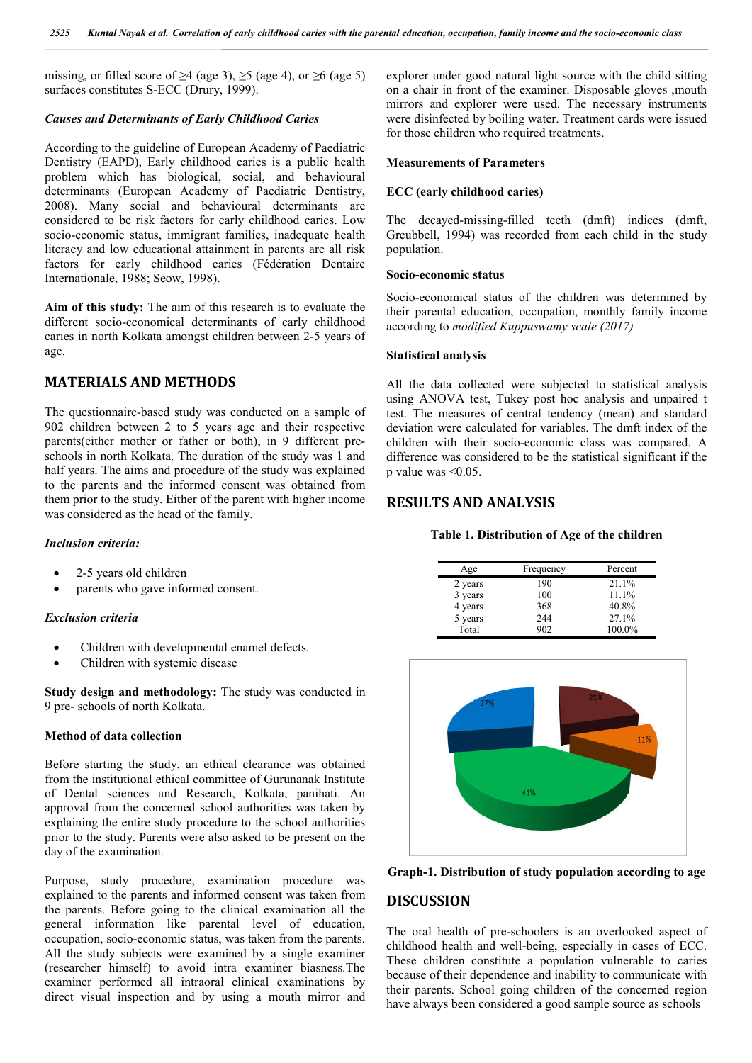missing, or filled score of  $\geq$ 4 (age 3),  $\geq$ 5 (age 4), or  $\geq$ 6 (age 5) surfaces constitutes S-ECC (Drury, 1999).

### *Causes and Determinants of Early Childhood Caries*

According to the guideline of European Academy of Paediatric Dentistry (EAPD), Early childhood caries is a public health problem which has biological, social, and behavioural determinants (European Academy of Paediatric Dentistry, 2008). Many social and behavioural determinants are considered to be risk factors for early childhood caries. Low socio-economic status, immigrant families, inadequate health literacy and low educational attainment in parents are all risk factors for early childhood caries (Fédération Dentaire Internationale, 1988; Seow, 1998).

**Aim of this study:** The aim of this research is to evaluate the different socio-economical determinants of early childhood caries in north Kolkata amongst children between 2-5 years of age.

## **MATERIALS AND METHODS**

The questionnaire-based study was conducted on a sample of 902 children between 2 to 5 years age and their respective parents(either mother or father or both), in 9 different preschools in north Kolkata. The duration of the study was 1 and half years. The aims and procedure of the study was explained to the parents and the informed consent was obtained from them prior to the study. Either of the parent with higher income was considered as the head of the family.

#### *Inclusion criteria:*

- 2-5 years old children
- parents who gave informed consent.

#### *Exclusion criteria*

- Children with developmental enamel defects.
- Children with systemic disease

**Study design and methodology:** The study was conducted in 9 pre- schools of north Kolkata.

#### **Method of data collection**

Before starting the study, an ethical clearance was obtained from the institutional ethical committee of Gurunanak Institute of Dental sciences and Research, Kolkata, panihati. An approval from the concerned school authorities was taken by explaining the entire study procedure to the school authorities prior to the study. Parents were also asked to be present on the day of the examination.

Purpose, study procedure, examination procedure was explained to the parents and informed consent was taken from the parents. Before going to the clinical examination all the general information like parental level of education, occupation, socio-economic status, was taken from the parents. All the study subjects were examined by a single examiner (researcher himself) to avoid intra examiner biasness.The examiner performed all intraoral clinical examinations by direct visual inspection and by using a mouth mirror and

explorer under good natural light source with the child sitting on a chair in front of the examiner. Disposable gloves ,mouth mirrors and explorer were used. The necessary instruments were disinfected by boiling water. Treatment cards were issued for those children who required treatments.

#### **Measurements of Parameters**

#### **ECC (early childhood caries)**

The decayed-missing-filled teeth (dmft) indices (dmft, Greubbell, 1994) was recorded from each child in the study population.

#### **Socio-economic status**

Socio-economical status of the children was determined by their parental education, occupation, monthly family income according to *modified Kuppuswamy scale (2017)*

#### **Statistical analysis**

All the data collected were subjected to statistical analysis using ANOVA test, Tukey post hoc analysis and unpaired t test. The measures of central tendency (mean) and standard deviation were calculated for variables. The dmft index of the children with their socio-economic class was compared. A difference was considered to be the statistical significant if the p value was <0.05.

### **RESULTS AND ANALYSIS**

**Table 1. Distribution of Age of the children**

| Age     | Frequency | Percent  |
|---------|-----------|----------|
| 2 years | 190       | $21.1\%$ |
| 3 years | 100       | $11.1\%$ |
| 4 years | 368       | 40.8%    |
| 5 years | 244       | 27.1%    |
| Total   | 902       | 100.0%   |





#### **DISCUSSION**

The oral health of pre-schoolers is an overlooked aspect of childhood health and well-being, especially in cases of ECC. These children constitute a population vulnerable to caries because of their dependence and inability to communicate with their parents. School going children of the concerned region have always been considered a good sample source as schools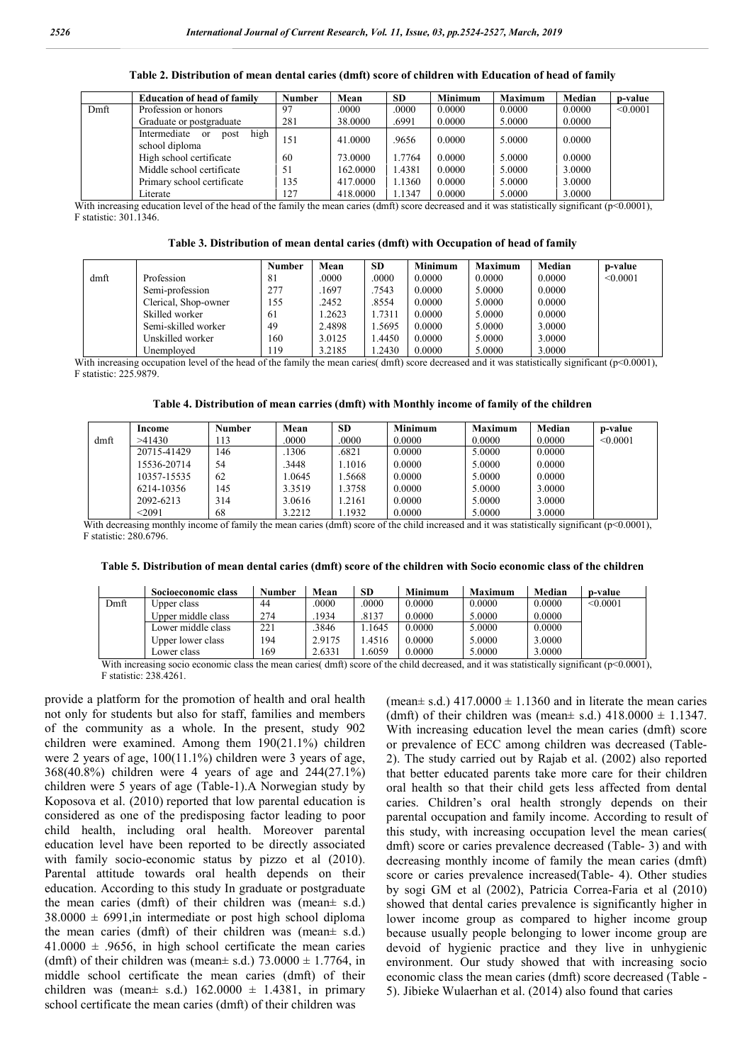|      | <b>Education of head of family</b>             | <b>Number</b> | Mean     | <b>SD</b> | <b>Minimum</b> | <b>Maximum</b> | Median | p-value  |
|------|------------------------------------------------|---------------|----------|-----------|----------------|----------------|--------|----------|
| Dmft | Profession or honors                           | 97            | .0000    | .0000     | 0.0000         | 0.0000         | 0.0000 | < 0.0001 |
|      | Graduate or postgraduate                       | 281           | 38,0000  | .6991     | 0.0000         | 5.0000         | 0.0000 |          |
|      | post high<br>Intermediate or<br>school diploma | 151           | 41,0000  | .9656     | 0.0000         | 5.0000         | 0.0000 |          |
|      | High school certificate                        | 60            | 73,0000  | 1.7764    | 0.0000         | 5.0000         | 0.0000 |          |
|      | Middle school certificate                      | 51            | 162.0000 | 1.4381    | 0.0000         | 5.0000         | 3.0000 |          |
|      | Primary school certificate                     | 135           | 417.0000 | 1.1360    | 0.0000         | 5.0000         | 3.0000 |          |
|      | Literate                                       | 127           | 418,0000 | 1.1347    | 0.0000         | 5.0000         | 3.0000 |          |

**Table 2. Distribution of mean dental caries (dmft) score of children with Education of head of family**

With increasing education level of the head of the family the mean caries (dmft) score decreased and it was statistically significant (p<0.0001), F statistic: 301.1346.

| Table 3. Distribution of mean dental caries (dmft) with Occupation of head of family |  |  |  |  |  |
|--------------------------------------------------------------------------------------|--|--|--|--|--|
|                                                                                      |  |  |  |  |  |

|      |                      | <b>Number</b> | Mean   | <b>SD</b> | <b>Minimum</b> | <b>Maximum</b> | Median | p-value  |
|------|----------------------|---------------|--------|-----------|----------------|----------------|--------|----------|
| dmft | Profession           | 81            | .0000  | .0000     | 0.0000         | 0.0000         | 0.0000 | < 0.0001 |
|      | Semi-profession      | 277           | .1697  | .7543     | 0.0000         | 5.0000         | 0.0000 |          |
|      | Clerical, Shop-owner | 155           | .2452  | .8554     | 0.0000         | 5.0000         | 0.0000 |          |
|      | Skilled worker       | 61            | .2623  | 1.7311    | 0.0000         | 5.0000         | 0.0000 |          |
|      | Semi-skilled worker  | 49            | 2.4898 | 1.5695    | 0.0000         | 5.0000         | 3.0000 |          |
|      | Unskilled worker     | 160           | 3.0125 | .4450     | 0.0000         | 5.0000         | 3.0000 |          |
|      | Unemployed           | 119           | 3.2185 | .2430     | 0.0000         | 5.0000         | 3.0000 |          |

With increasing occupation level of the head of the family the mean caries( dmft) score decreased and it was statistically significant (p<0.0001), F statistic: 225.9879.

| Table 4. Distribution of mean carries (dmft) with Monthly income of family of the children |  |  |
|--------------------------------------------------------------------------------------------|--|--|
|                                                                                            |  |  |

|      | Income      | <b>Number</b> | Mean   | <b>SD</b> | <b>Minimum</b> | <b>Maximum</b> | Median | p-value  |
|------|-------------|---------------|--------|-----------|----------------|----------------|--------|----------|
| dmft | >41430      | 113           | .0000  | .0000     | 0.0000         | 0.0000         | 0.0000 | < 0.0001 |
|      | 20715-41429 | 146           | .1306  | .6821     | 0.0000         | 5.0000         | 0.0000 |          |
|      | 15536-20714 | 54            | .3448  | 1.1016    | 0.0000         | 5.0000         | 0.0000 |          |
|      | 10357-15535 | 62            | .0645  | .5668     | 0.0000         | 5.0000         | 0.0000 |          |
|      | 6214-10356  | 145           | 3.3519 | 1.3758    | 0.0000         | 5.0000         | 3.0000 |          |
|      | 2092-6213   | 314           | 3.0616 | 1.2161    | 0.0000         | 5.0000         | 3.0000 |          |
|      | $<$ 2091    | 68            | 3.2212 | 1.1932    | 0.0000         | 5.0000         | 3.0000 |          |

With decreasing monthly income of family the mean caries (dmft) score of the child increased and it was statistically significant (p<0.0001). F statistic: 280.6796.

| Table 5. Distribution of mean dental caries (dmft) score of the children with Socio economic class of the children |  |  |  |  |  |
|--------------------------------------------------------------------------------------------------------------------|--|--|--|--|--|
|--------------------------------------------------------------------------------------------------------------------|--|--|--|--|--|

|      | Socioeconomic class                                                                                                                                                                                                                                                          | Number | Mean   | SD.   | Minimum | <b>Maximum</b> | Median | p-value  |
|------|------------------------------------------------------------------------------------------------------------------------------------------------------------------------------------------------------------------------------------------------------------------------------|--------|--------|-------|---------|----------------|--------|----------|
| Dmft | Upper class                                                                                                                                                                                                                                                                  | 44     | .0000  | .0000 | 0.0000  | 0.0000         | 0.0000 | < 0.0001 |
|      | Upper middle class                                                                                                                                                                                                                                                           | 274    | .1934  | .8137 | 0.0000  | 5.0000         | 0.0000 |          |
|      | Lower middle class                                                                                                                                                                                                                                                           | 221    | .3846  | .1645 | 0.0000  | 5.0000         | 0.0000 |          |
|      | Upper lower class                                                                                                                                                                                                                                                            | 194    | 2.9175 | .4516 | 0.0000  | 5.0000         | 3.0000 |          |
|      | Lower class                                                                                                                                                                                                                                                                  | 169    | 2.6331 | .6059 | 0.0000  | 5.0000         | 3.0000 |          |
|      | $W_{11}$ , in contract the compact of the discussion of $\mathcal{A}_1$ , $\mathcal{A}_2$ , and $\mathcal{A}_3$ are defined as $\mathcal{A}_2$ and $\mathcal{A}_3$ are defined as $\mathcal{A}_4$ and $\mathcal{A}_5$ are defined as $\mathcal{A}_5$ and $\mathcal{A}_6$ and |        |        |       |         |                |        |          |

io economic class the mean caries( dmft) score of the child decreased, and it was statistically significant ( $p<0.0001$ ). F statistic: 238.4261.

provide a platform for the promotion of health and oral health not only for students but also for staff, families and members of the community as a whole. In the present, study 902 children were examined. Among them 190(21.1%) children were 2 years of age, 100(11.1%) children were 3 years of age, 368(40.8%) children were 4 years of age and 244(27.1%) children were 5 years of age (Table-1).A Norwegian study by Koposova et al. (2010) reported that low parental education is considered as one of the predisposing factor leading to poor child health, including oral health. Moreover parental education level have been reported to be directly associated with family socio-economic status by pizzo et al (2010). Parental attitude towards oral health depends on their education. According to this study In graduate or postgraduate the mean caries (dmft) of their children was (mean± s.d.)  $38.0000 \pm 6991$ , in intermediate or post high school diploma the mean caries (dmft) of their children was (mean± s.d.)  $41.0000 \pm .9656$ , in high school certificate the mean caries (dmft) of their children was (mean $\pm$  s.d.) 73.0000  $\pm$  1.7764, in middle school certificate the mean caries (dmft) of their children was (mean $\pm$  s.d.) 162.0000  $\pm$  1.4381, in primary school certificate the mean caries (dmft) of their children was

(mean $\pm$  s.d.) 417.0000  $\pm$  1.1360 and in literate the mean caries (dmft) of their children was (mean $\pm$  s.d.) 418.0000  $\pm$  1.1347. With increasing education level the mean caries (dmft) score or prevalence of ECC among children was decreased (Table-2). The study carried out by Rajab et al. (2002) also reported that better educated parents take more care for their children oral health so that their child gets less affected from dental caries. Children's oral health strongly depends on their parental occupation and family income. According to result of this study, with increasing occupation level the mean caries( dmft) score or caries prevalence decreased (Table- 3) and with decreasing monthly income of family the mean caries (dmft) score or caries prevalence increased(Table- 4). Other studies by sogi GM et al (2002), Patricia Correa-Faria et al (2010) showed that dental caries prevalence is significantly higher in lower income group as compared to higher income group because usually people belonging to lower income group are devoid of hygienic practice and they live in unhygienic environment. Our study showed that with increasing socio economic class the mean caries (dmft) score decreased (Table - 5). Jibieke Wulaerhan et al. (2014) also found that caries